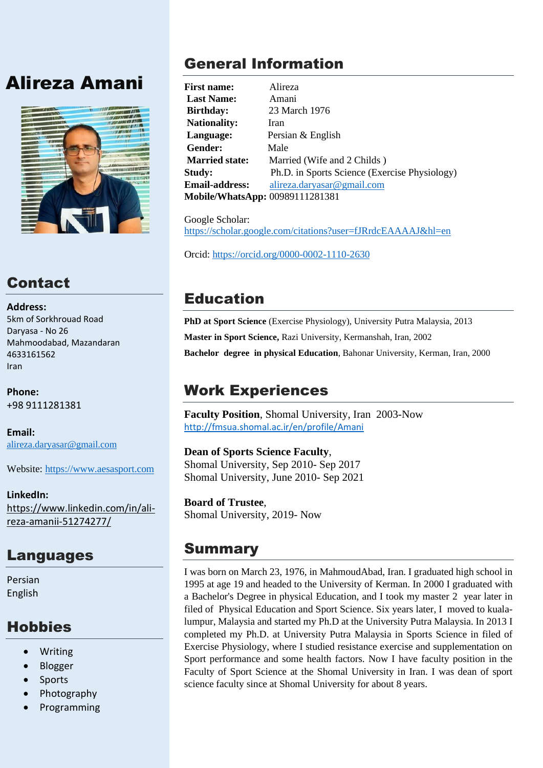# Alireza Amani



# **Contact**

**Address:** 5km of Sorkhrouad Road Daryasa - No 26 Mahmoodabad, Mazandaran 4633161562 Iran

**Phone:** +98 9111281381

**Email:** [alireza.daryasar@gmail.com](mailto:alireza.daryasar@gmail.com)

Website: [https://www.aesasport.com](https://www.aesasport.com/)

**LinkedIn:** https://www.linkedin.com/in/alireza-amanii-51274277/

## Languages

Persian English

## **Hobbies**

- Writing
- Blogger
- Sports
- Photography
- Programming

# General Information

**First name:** Alireza **Last Name:** Amani **Birthday:** 23 March 1976 Nationality: Iran **Language:** Persian & English **Gender:** Male **Married state:** Married (Wife and 2 Childs ) **Study:** Ph.D. in Sports Science (Exercise Physiology) **Email-address:** [alireza.daryasar@gmail.com](mailto:alireza.daryasar@gmail.com) **Mobile/WhatsApp:** 00989111281381

Google Scholar: <https://scholar.google.com/citations?user=fJRrdcEAAAAJ&hl=en>

Orcid:<https://orcid.org/0000-0002-1110-2630>

# Education

**PhD at Sport Science** (Exercise Physiology), University Putra Malaysia, 2013 **Master in Sport Science,** Razi University, Kermanshah, Iran, 2002 **Bachelor degree in physical Education**, Bahonar University, Kerman, Iran, 2000

# Work Experiences

**Faculty Position**, Shomal University, Iran 2003-Now <http://fmsua.shomal.ac.ir/en/profile/Amani>

### **Dean of Sports Science Faculty**,

Shomal University, Sep 2010- Sep 2017 Shomal University, June 2010- Sep 2021

**Board of Trustee**, Shomal University, 2019- Now

## Summary

I was born on March 23, 1976, in MahmoudAbad, Iran. I graduated high school in 1995 at age 19 and headed to the University of Kerman. In 2000 I graduated with a Bachelor's Degree in physical Education, and I took my master 2 year later in filed of Physical Education and Sport Science. Six years later, I moved to kualalumpur, Malaysia and started my Ph.D at the University Putra Malaysia. In 2013 I completed my Ph.D. at University Putra Malaysia in Sports Science in filed of Exercise Physiology, where I studied resistance exercise and supplementation on Sport performance and some health factors. Now I have faculty position in the Faculty of Sport Science at the Shomal University in Iran. I was dean of sport science faculty since at Shomal University for about 8 years.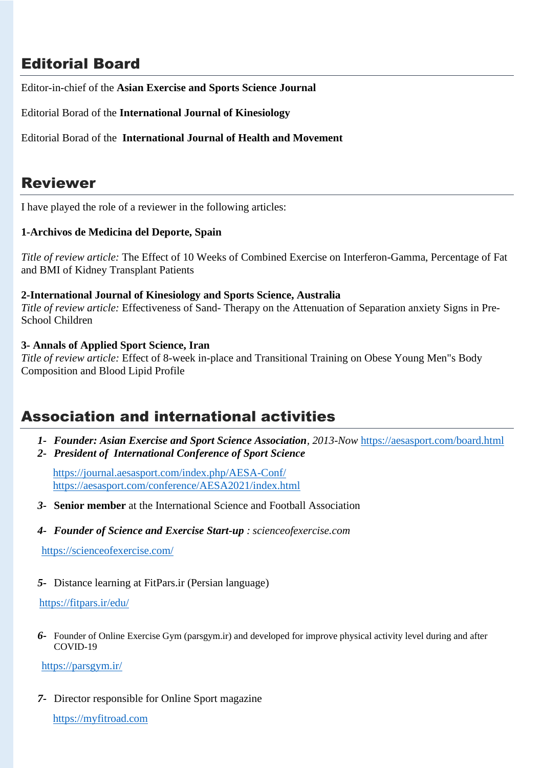## Editorial Board

Editor-in-chief of the **Asian Exercise and Sports Science Journal**

Editorial Borad of the **International Journal of Kinesiology**

Editorial Borad of the **International Journal of Health and Movement**

### Reviewer

I have played the role of a reviewer in the following articles:

#### **1-Archivos de Medicina del Deporte, Spain**

*Title of review article:* The Effect of 10 Weeks of Combined Exercise on Interferon-Gamma, Percentage of Fat and BMI of Kidney Transplant Patients

#### **2-International Journal of Kinesiology and Sports Science, Australia**

*Title of review article:* Effectiveness of Sand- Therapy on the Attenuation of Separation anxiety Signs in Pre-School Children

#### **3- Annals of Applied Sport Science, Iran**

*Title of review article:* Effect of 8-week in-place and Transitional Training on Obese Young Men"s Body Composition and Blood Lipid Profile

## Association and international activities

- *1- Founder: Asian Exercise and Sport Science Association, 2013-Now* <https://aesasport.com/board.html>
- *2- President of International Conference of Sport Science*

 <https://journal.aesasport.com/index.php/AESA-Conf/> <https://aesasport.com/conference/AESA2021/index.html>

- *3-* **Senior member** at the International Science and Football Association
- *4- Founder of Science and Exercise Start-up : scienceofexercise.com*

<https://scienceofexercise.com/>

*5-* Distance learning at FitPars.ir (Persian language)

#### <https://fitpars.ir/edu/>

*6-* Founder of Online Exercise Gym (parsgym.ir) and developed for improve physical activity level during and after COVID-19

<https://parsgym.ir/>

*7-* Director responsible for Online Sport magazine

[https://myfitroad.com](https://myfitroad.com/)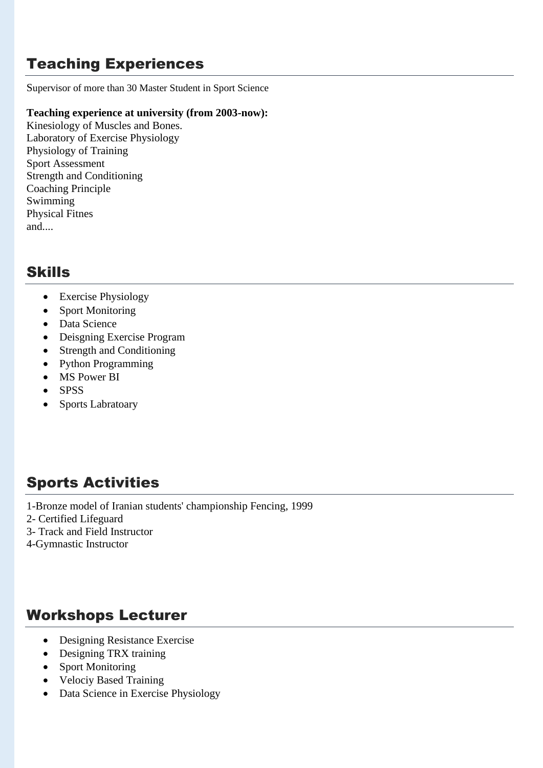## Teaching Experiences

Supervisor of more than 30 Master Student in Sport Science

#### **Teaching experience at university (from 2003-now):**

Kinesiology of Muscles and Bones. Laboratory of Exercise Physiology Physiology of Training Sport Assessment Strength and Conditioning Coaching Principle Swimming Physical Fitnes and....

## Skills

- Exercise Physiology
- Sport Monitoring
- Data Science
- Deisgning Exercise Program
- Strength and Conditioning
- Python Programming
- MS Power BI
- SPSS
- Sports Labratoary

## Sports Activities

1-Bronze model of Iranian students' championship Fencing, 1999

- 2- Certified Lifeguard
- 3- Track and Field Instructor
- 4-Gymnastic Instructor

## Workshops Lecturer

- Designing Resistance Exercise
- Designing TRX training
- Sport Monitoring
- Velociy Based Training
- Data Science in Exercise Physiology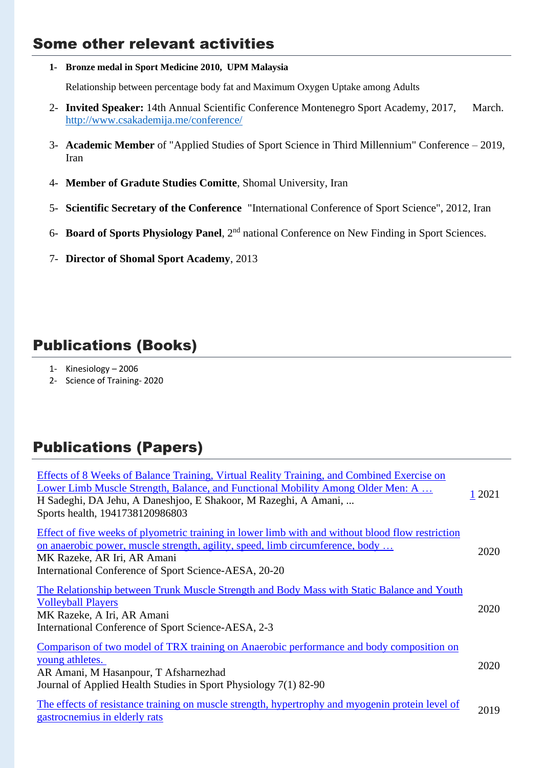## Some other relevant activities

**1- Bronze medal in Sport Medicine 2010, UPM Malaysia**

Relationship between percentage body fat and Maximum Oxygen Uptake among Adults

- 2- **Invited Speaker:** 14th Annual Scientific Conference Montenegro Sport Academy, 2017, March. <http://www.csakademija.me/conference/>
- 3- **Academic Member** of "Applied Studies of Sport Science in Third Millennium" Conference 2019, Iran
- 4- **Member of Gradute Studies Comitte**, Shomal University, Iran
- 5- **Scientific Secretary of the Conference** "International Conference of Sport Science", 2012, Iran
- 6- **Board of Sports Physiology Panel**, 2nd national Conference on New Finding in Sport Sciences.
- 7- **Director of Shomal Sport Academy**, 2013

## Publications (Books)

- 1- Kinesiology 2006
- 2- Science of Training- 2020

## Publications (Papers)

| Effects of 8 Weeks of Balance Training, Virtual Reality Training, and Combined Exercise on<br>Lower Limb Muscle Strength, Balance, and Functional Mobility Among Older Men: A<br>H Sadeghi, DA Jehu, A Daneshjoo, E Shakoor, M Razeghi, A Amani,<br>Sports health, 1941738120986803 | 1 2021 |
|-------------------------------------------------------------------------------------------------------------------------------------------------------------------------------------------------------------------------------------------------------------------------------------|--------|
| Effect of five weeks of plyometric training in lower limb with and without blood flow restriction<br>on anaerobic power, muscle strength, agility, speed, limb circumference, body<br>MK Razeke, AR Iri, AR Amani<br>International Conference of Sport Science-AESA, 20-20          | 2020   |
| The Relationship between Trunk Muscle Strength and Body Mass with Static Balance and Youth<br><b>Volleyball Players</b><br>MK Razeke, A Iri, AR Amani<br>International Conference of Sport Science-AESA, 2-3                                                                        | 2020   |
| Comparison of two model of TRX training on Anaerobic performance and body composition on<br>young athletes.<br>AR Amani, M Hasanpour, T Afsharnezhad<br>Journal of Applied Health Studies in Sport Physiology 7(1) 82-90                                                            | 2020   |
| The effects of resistance training on muscle strength, hypertrophy and myogenin protein level of<br>gastrocnemius in elderly rats                                                                                                                                                   | 2019   |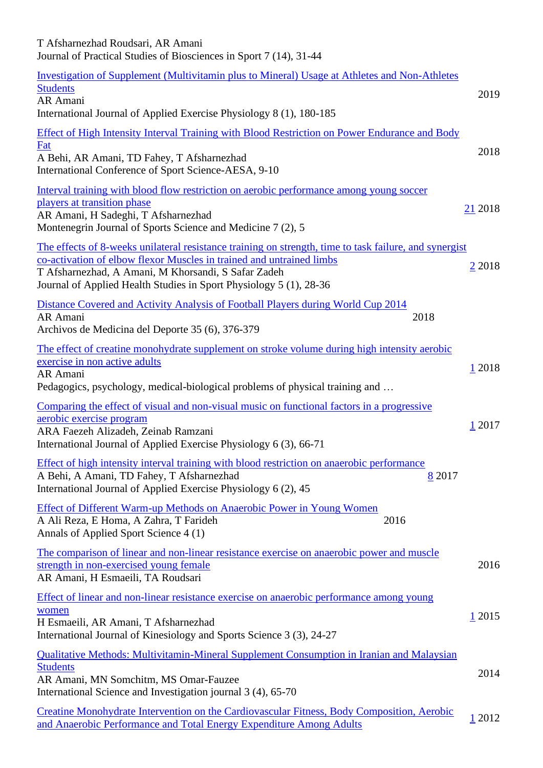| T Afsharnezhad Roudsari, AR Amani<br>Journal of Practical Studies of Biosciences in Sport 7 (14), 31-44                                                                                                                                                                                                     |           |
|-------------------------------------------------------------------------------------------------------------------------------------------------------------------------------------------------------------------------------------------------------------------------------------------------------------|-----------|
| Investigation of Supplement (Multivitamin plus to Mineral) Usage at Athletes and Non-Athletes<br><b>Students</b><br>AR Amani<br>International Journal of Applied Exercise Physiology 8 (1), 180-185                                                                                                         | 2019      |
| Effect of High Intensity Interval Training with Blood Restriction on Power Endurance and Body<br>Fat<br>A Behi, AR Amani, TD Fahey, T Afsharnezhad<br>International Conference of Sport Science-AESA, 9-10                                                                                                  | 2018      |
| Interval training with blood flow restriction on aerobic performance among young soccer<br>players at transition phase<br>AR Amani, H Sadeghi, T Afsharnezhad<br>Montenegrin Journal of Sports Science and Medicine 7 (2), 5                                                                                | 21 2018   |
| The effects of 8-weeks unilateral resistance training on strength, time to task failure, and synergist<br>co-activation of elbow flexor Muscles in trained and untrained limbs<br>T Afsharnezhad, A Amani, M Khorsandi, S Safar Zadeh<br>Journal of Applied Health Studies in Sport Physiology 5 (1), 28-36 | 2 2 0 1 8 |
| Distance Covered and Activity Analysis of Football Players during World Cup 2014<br>AR Amani<br>2018<br>Archivos de Medicina del Deporte 35 (6), 376-379                                                                                                                                                    |           |
| The effect of creatine monohydrate supplement on stroke volume during high intensity aerobic<br>exercise in non active adults<br>AR Amani<br>Pedagogics, psychology, medical-biological problems of physical training and                                                                                   | 1 2018    |
| Comparing the effect of visual and non-visual music on functional factors in a progressive<br>aerobic exercise program<br>ARA Faezeh Alizadeh, Zeinab Ramzani<br>International Journal of Applied Exercise Physiology 6 (3), 66-71                                                                          | 1 2017    |
| Effect of high intensity interval training with blood restriction on anaerobic performance<br>A Behi, A Amani, TD Fahey, T Afsharnezhad<br>8 2017<br>International Journal of Applied Exercise Physiology 6 (2), 45                                                                                         |           |
| <b>Effect of Different Warm-up Methods on Anaerobic Power in Young Women</b><br>A Ali Reza, E Homa, A Zahra, T Farideh<br>2016<br>Annals of Applied Sport Science 4 (1)                                                                                                                                     |           |
| The comparison of linear and non-linear resistance exercise on anaerobic power and muscle<br>strength in non-exercised young female<br>AR Amani, H Esmaeili, TA Roudsari                                                                                                                                    | 2016      |
| Effect of linear and non-linear resistance exercise on anaerobic performance among young<br>women<br>H Esmaeili, AR Amani, T Afsharnezhad<br>International Journal of Kinesiology and Sports Science 3 (3), 24-27                                                                                           | 1,2015    |
| <b>Qualitative Methods: Multivitamin-Mineral Supplement Consumption in Iranian and Malaysian</b><br><b>Students</b><br>AR Amani, MN Somchitm, MS Omar-Fauzee<br>International Science and Investigation journal 3 (4), 65-70                                                                                | 2014      |
| Creatine Monohydrate Intervention on the Cardiovascular Fitness, Body Composition, Aerobic<br>and Anaerobic Performance and Total Energy Expenditure Among Adults                                                                                                                                           | 1 2012    |